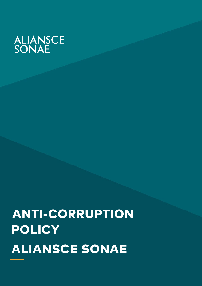# **ALIANSCE**<br>SONAE

# ANTI-CORRUPTION **POLICY** ALIANSCE SONAE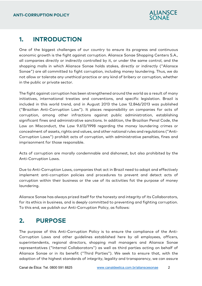

## **1. INTRODUCTION**

One of the biggest challenges of our country to ensure its progress and continuous economic growth is the fight against corruption. Aliansce Sonae Shopping Centers S.A., all companies directly or indirectly controlled by it, or under the same control, and the shopping malls in which Aliansce Sonae holds stakes, directly or indirectly ("Aliansce Sonae") are all committed to fight corruption, including money laundering. Thus, we do not allow or tolerate any unethical practice or any kind of bribery or corruption, whether in the public or private sector.

The fight against corruption has been strengthened around the world as a result of many initiatives, international treaties and conventions, and specific legislation. Brazil is included in this world trend, and in August 2013 the Law 12.846/2013 was published ("Brazilian Anti-Corruption Law"). It places responsibility on companies for acts of corruption, among other infractions against public administration, establishing significant fines and administrative sanctions. In addition, the Brazilian Penal Code, the Law on Misconduct, the Law 9.613/1998 regarding the money laundering crimes or concealment of assets, rights and values, and other national rules and regulations ("Anti-Corruption Laws") prohibit acts of corruption, with administrative penalties, fines and imprisonment for those responsible.

Acts of corruption are morally condemnable and dishonest, but also prohibited by the Anti-Corruption Laws.

Due to Anti-Corruption Laws, companies that act in Brazil need to adopt and effectively implement anti-corruption policies and procedures to prevent and detect acts of corruption within their business or the use of its activities fot the purpose of money laundering.

Aliansce Sonae has always prized itself for the honesty and integrity of its Collaborators, for its ethics in business, and is deeply committed to preventing and fighting corruption. To this end, we publish our Anti-Corruption Policy, as follows:

# **2. PURPOSE**

The purpose of this Anti-Corruption Policy is to ensure the compliance of the Anti-Corruption Laws and other guidelines established here by all employees, officers, superintendents, regional directors, shopping mall managers and Aliansce Sonae representatives ("Internal Collaborators") as well as third parties acting on behalf of Aliansce Sonae or in its benefit ("Third Parties"). We seek to ensure that, with the adoption of the highest standards of integrity, legality and transparency, we can assure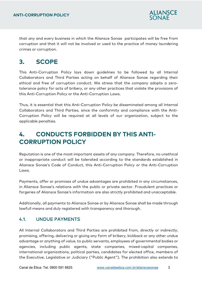

that any and every business in which the Aliansce Sonae participates will be free from corruption and that it will not be involved or used to the practice of money laundering crimes or corruption.

# **3. SCOPE**

This Anti-Corruption Policy lays down guidelines to be followed by all Internal Collaborators and Third Parties acting on behalf of Aliansce Sonae regarding their ethical and free of corruption conduct. We stress that the company adopts a zerotolerance policy for acts of bribery, or any other practices that violate the provisions of this Anti-Corruption Policy or the Anti-Corruption Laws.

Thus, it is essential that this Anti-Corruption Policy be disseminated among all Internal Collaborators and Third Parties, since the conformity and compliance with the Anti-Corruption Policy will be required at all levels of our organization, subject to the applicable penalties.

# **4. CONDUCTS FORBIDDEN BY THIS ANTI-CORRUPTION POLICY**

Reputation is one of the most important assets of any company. Therefore, no unethical or inappropriate conduct will be tolerated according to the standards established in Aliansce Sonae's Code of Conduct, this Anti-Corruption Policy or the Anti-Corruption Laws.

Payments, offer or promises of undue advantages are prohibited in any circumstances, in Aliansce Sonae's relations with the public or private sector. Fraudulent practices or forgeries of Aliansce Sonae's information are also strictly prohibited and unacceptable.

Additionally, all payments to Aliansce Sonae or by Aliansce Sonae shall be made through lawfull means and duly registered with transparency and thorough.

#### 4.1. UNDUE PAYMENTS

All Internal Collaborators and Third Parties are prohibited from, directly or indirectly, promising, offering, delivering or giving any form of bribery, kickback or any other undue advantage or anything of value, to public servants, employees of governmental bodies or agencies, including public agents, state companies, mixed-capital companies, international organizations, political parties, candidates for elected office, members of the Executive, Legislative or Judiciary ("Public Agent"). The prohibition also extends to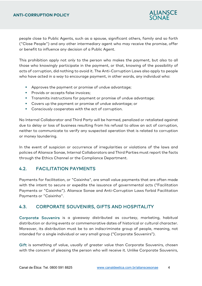

people close to Public Agents, such as a spouse, significant others, family and so forth ("Close People") and any other intermediary agent who may receive the promise, offer or benefit to influence any decision of a Public Agent.

This prohibition apply not only to the person who makes the payment, but also to all those who knowingly participate in the payment, or that, knowing of the possibility of acts of corruption, did nothing to avoid it. The Anti-Corruption Laws also apply to people who have acted in a way to encourage payment, in other words, any individual who:

- Approves the payment or promise of undue advantage;
- **Provids or accepts false invoices;**
- **Transmits instructions for payment or promise of undue advantage;**
- Covers up the payment or promise of undue advantage; or
- Consciously cooperates with the act of corruption.

No Internal Collaborator and Third Party will be harmed, penalized or retaliated against due to delay or loss of business resulting from his refusal to allow an act of corruption, neither to communicate to verify any suspected operation that is related to corruption or money laundering.

In the event of suspicion or occurrence of irregularities or violations of the laws and policies of Aliansce Sonae, Internal Collaborators and Third Parties must report the facts through the Ethics Channel or the Compliance Department.

#### 4.2. FACILITATION PAYMENTS

Payments for facilitation, or "Caixinha", are small value payments that are often made with the intent to secure or expedite the issuance of governmental acts ("Facilitation Payments or "Caixinha"). Aliansce Sonae and Anti-Corruption Laws forbid Facilitation Payments or "Caixinha".

#### 4.3. CORPORATE SOUVENIRS, GIFTS AND HOSPITALITY

Corporate Souvenirs is a giveaway distributed as courtesy, marketing, habitual distribution or during events or commemorative dates of historical or cultural character. Moreover, its distribution must be to an indiscriminate group of people, meaning, not intended for a single individual or very small group ("Corporate Souvenirs").

Gift is something of value, usually of greater value than Corporate Souvenirs, chosen with the concern of pleasing the person who will receive it. Unlike Corporate Souvenirs,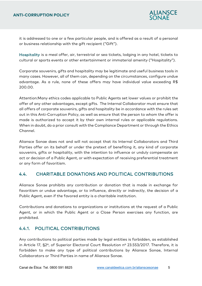

it is addressed to one or a few particular people, and is offered as a result of a personal or business relationship with the gift recipient ("Gift").

Hospitality is a meal offer, air, terrestrial or sea tickets, lodging in any hotel, tickets to cultural or sports events or other entertainment or immaterial amenity ("Hospitality").

Corporate souvenirs, gifts and hospitality may be legitimate and useful business tools in many cases. However, all of them can, depending on the circumstances, configure undue advantage. As a rule, none of these offers may have individual value exceeding R\$ 200.00.

Attention:Many ethics codes applicable to Public Agents set lower values or prohibit the offer of any other advantages, except gifts. The Internal Collaborator must ensure that all offers of corporate souvenirs, gifts and hospitality be in accordance with the rules set out in this Anti-Corruption Policy, as well as ensure that the person to whom the offer is made is authorized to accept it by their own internal rules or applicable regulations. When in doubt, do a prior consult with the Compliance Department or through the Ethics Channel.

Aliansce Sonae does not and will not accept that its Internal Collaborators and Third Parties offer on its behalf or under the pretext of benefiting it, any kind of corporate souvenirs, gifts or hospitality, with the intention to influence or unduly compensate an act or decision of a Public Agent, or with expectation of receiving preferential treatment or any form of favoritism.

#### 4.4. CHARITABLE DONATIONS AND POLITICAL CONTRIBUTIONS

Aliansce Sonae prohibits any contribution or donation that is made in exchange for favoritism or undue advantage, or to influence, directly or indirectly, the decision of a Public Agent, even if the favored entity is a charitable institution.

Contributions and donations to organizations or institutions at the request of a Public Agent, or in which the Public Agent or a Close Person exercises any function, are prohibited.

#### 4.4.1. POLITICAL CONTRIBUTIONS

Any contributions to political parties made by legal entities is forbidden, as established in Article 17, §2º, of Superior Electoral Court Resolution nº 23.553/2017. Therefore, it is forbidden to make any type of political contributions by Aliansce Sonae, Internal Collaborators or Third Parties in name of Aliansce Sonae.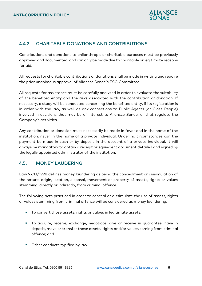

#### 4.4.2. CHARITABLE DONATIONS AND CONTRIBUTIONS

Contributions and donations to philanthropic or charitable purposes must be previously approved and documented, and can only be made due to charitable or legitimate reasons for aid.

All requests for charitable contributions or donations shall be made in writing and require the prior unanimous approval of Aliansce Sonae's ESG Committee.

All requests for assistance must be carefully analyzed in order to evaluate the suitability of the benefited entity and the risks associated with the contribution or donation. If necessary, a study will be conducted concerning the benefited entity, if its registration is in order with the law, as well as any connections to Public Agents (or Close People) involved in decisions that may be of interest to Aliansce Sonae, or that regulate the Company's activities.

Any contribution or donation must necessarily be made in favor and in the name of the institution, never in the name of a private individual. Under no circumstances can the payment be made in cash or by deposit in the account of a private individual. It will always be mandatory to obtain a receipt or equivalent document detailed and signed by the legally appointed administrator of the institution.

#### 4.5. MONEY LAUDERING

Law 9.613/1998 defines money laundering as being the concealment or dissimulation of the nature, origin, location, disposal, movement or property of assets, rights or values stemming, directly or indirectly, from criminal offence.

The following acts practiced in order to conceal or dissimulate the use of assets, rights or values stemming from criminal offence will be considered as money laundering:

- To convert those assets, rights or values in legitimate assets;
- To acquire, receive, exchange, negotiate, give or receive in guarantee, have in deposit, move or transfer those assets, rights and/or values coming from criminal offence; and
- **•** Other conducts typified by law.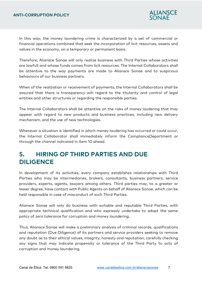

In this way, the money laundering crime is characterized by a set of commercial or financial operations combined that seek the incorporation of licit resources, assets and values in the economy, on a temporary or permanent basis.

Therefore, Aliansce Sonae will only realize business with Third Parties whose activities are lawfull and whose funds comes from licit resources. The Internal Collaborators shall be attentive to the way payments are made to Aliansce Sonae and to suspicious behaviours of our business partners.

When of the realization or receivement of payments, the Internal Collaborators shall be assured that there is transparency wih regard to the titularity and control of legal entities and other structures or regarding the responsible parties.

The Internal Collaborators shall be attentive on the risks of money laudering that may appear with regard to new products and business practices, including new delivery mechanism, and the use of new technologies.

Whenever a situation is identified in which money laudering has occurred or could occur, the Internal Collaborator shall immediately inform the ComplianceDepartment or through the channel indicated in item 10 ahead.

# **5. HIRING OF THIRD PARTIES AND DUE DILIGENCE**

In development of its activities, every company establishes relationships with Third Parties who may be intermediaries, brokers, consultants, business partners, service providers, experts, agents, lawyers among others. Third parties may, to a greater or lesser degree, have contact with Public Agents on behalf of Aliansce Sonae, which can be held responsible in case of misconduct of such Third Parties.

Aliansce Sonae will only do business with suitable and reputable Third Parties, with appropriate technical qualification and who expressly undertake to adopt the same policy of zero tolerance for corruption and money laundering.

Thus, Aliansce Sonae will make a preliminary analysis of criminal records, qualifications and reputation (Due Diligence) of its partners and service providers seeking to remove any doubt as to their ethical values, integrity, honesty and reputation, carefully checking any signs that may indicate propensity or tolerance of the Third Party to acts of corruption and money laundering.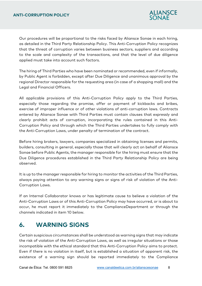

Our procedures will be proportional to the risks faced by Aliansce Sonae in each hiring, as detailed in the Third Party Relationship Policy. This Anti-Corruption Policy recognizes that the threat of corruption varies between business sectors, suppliers and according to the scale and complexity of the transactions, and that the level of due diligence applied must take into account such factors.

The hiring of Third Parties who have been nominated or recommended, even if informally, by Public Agent is forbidden, except after Due Diligence and unanimous approval by the regional Director responsible for the requesting area (in case of a shopping mall) and the Legal and Financial Officers.

All applicable provisions of this Anti-Corruption Policy apply to the Third Parties, especially those regarding the promise, offer or payment of kickbacks and bribes, exercise of improper influence or of other violations of anti-corruption laws. Contracts entered by Aliansce Sonae with Third Parties must contain clauses that expressly and clearly prohibit acts of corruption, incorporating the rules contained in this Anti-Corruption Policy and through which the Third Parties undertakes to fully comply with the Anti-Corruption Laws, under penalty of termination of the contract.

Before hiring brokers, lawyers, companies specialized in obtaining licenses and permits, builders, consulting in general, especially those that will clearly act on behalf of Aliansce Sonae before Public Agents, the manager responsible for the hiring must ensure that the Due Diligence procedures established in the Third Party Relationship Policy are being observed.

It is up to the manager responsible for hiring to monitor the activities of the Third Parties, always paying attention to any warning signs or signs of risk of violation of the Anti-Corruption Laws.

If an Internal Collaborator knows or has legitimate cause to believe a violation of the Anti-Corruption Laws or of this Anti-Corruption Policy may have occurred, or is about to occur, he must report it immediately to the ComplianceDepartment or through the channels indicated in item 10 below.

# **6. WARNING SIGNS**

Certain suspicious circumstances shall be understood as warning signs that may indicate the risk of violation of the Anti-Corruption Laws, as well as irregular situations or those incompatible with the ethical standard that this Anti-Corruption Policy aims to protect. Even if there is no violation in itself, but is established a situation of apparent risk, the existence of a warning sign should be reported immediately to the Compliance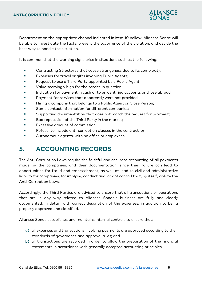

Department on the appropriate channel indicated in item 10 bellow. Aliansce Sonae will be able to investigate the facts, prevent the occurrence of the violation, and decide the best way to handle the situation.

It is common that the warning signs arise in situations such as the following:

- **Contracting Structures that cause strangeness due to its complexity;**
- **Expenses for travel or gifts involving Public Agents;**
- **Request to use a Third Party appointed by a Public Agent;**
- **Value seemingly high for the service in question;**
- Indication for payment in cash or to unidentified accounts or those abroad;
- **Payment for services that apparently were not provided;**
- Hiring a company that belongs to a Public Agent or Close Person;
- Same contact information for different companies;
- Supporting documentation that does not match the request for payment;
- **Bad reputation of the Third Party in the market;**
- **Excessive amount of commission:**
- Refusal to include anti-corruption clauses in the contract; or
- **Autonomous agents, with no office or employees**

# **5. ACCOUNTING RECORDS**

The Anti-Corruption Laws require the faithful and accurate accounting of all payments made by the companies, and their documentation, since their failure can lead to opportunities for fraud and embezzlement, as well as lead to civil and administrative liability for companies, for implying conduct and lack of control that, by itself, violate the Anti-Corruption Laws.

Accordingly, the Third Parties are advised to ensure that all transactions or operations that are in any way related to Aliansce Sonae's business are fully and clearly documented, in detail, with correct description of the expenses, in addition to being properly approved and classified.

Aliansce Sonae establishes and maintains internal controls to ensure that:

- a) all expenses and transactions involving payments are approved according to their standards of governance and approval rules; and
- b) all transactions are recorded in order to allow the preparation of the financial statements in accordance with generally accepted accounting principles.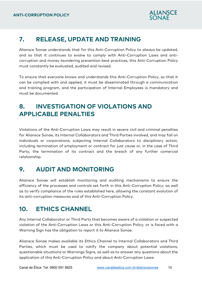

# **7. RELEASE, UPDATE AND TRAINING**

Aliansce Sonae understands that for this Anti-Corruption Policy to always be updated, and so that it continues to evolve to comply with Anti-Corruption Laws and anticorruption and money laundering prevention best practices, this Anti-Corruption Policy must constantly be evaluated, audited and revised.

To ensure that everyone knows and understands this Anti-Corruption Policy, so that it can be complied with and applied, it must be disseminated through a communication and training program, and the participation of Internal Employees is mandatory and must be documented.

# **8. INVESTIGATION OF VIOLATIONS AND APPLICABLE PENALTIES**

Violations of the Anti-Corruption Laws may result in severe civil and criminal penalties for Aliansce Sonae, its Internal Collaborators and Third Parties involved, and may fall on individuals or corporations, subjecting Internal Collaborators to disciplinary action, including termination of employment or contract for just cause or, in the case of Third Party, the termination of its contract and the breach of any further comercial relationship.

# **9. AUDIT AND MONITORING**

Aliansce Sonae will establish monitoring and auditing mechanisms to ensure the efficiency of the processes and controls set forth in this Anti-Corruption Policy, as well as to verify compliance of the rules established here, allowing the constant evolution of its anti-corruption measures and of this Anti-Corruption Policy.

# **10. ETHICS CHANNEL**

Any Internal Collaborator or Third Party that becomes aware of a violation or suspected violation of the Anti-Corruption Laws or this Anti-Corruption Policy, or is faced with a Warning Sign has the obligation to report it to Aliansce Sonae.

Aliansce Sonae makes available its Ethics Channel to Internal Collaborators and Third Parties, which must be used to notify the company about potential violations, questionable situations or Warnings Signs, as well as to answer any questions about the application of this Anti-Corruption Policy and about Anti-Corruption Laws: